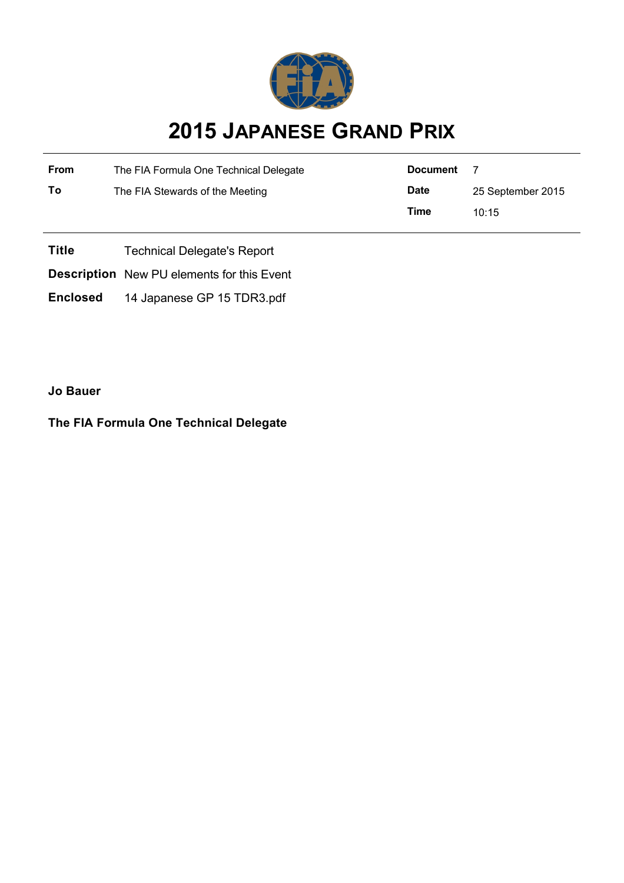

## **2015 JAPANESE GRAND PRIX**

| From | The FIA Formula One Technical Delegate | <b>Document</b> |                   |
|------|----------------------------------------|-----------------|-------------------|
| To   | The FIA Stewards of the Meeting        | <b>Date</b>     | 25 September 2015 |
|      |                                        | Time            | 10.15             |

**Title** Technical Delegate's Report

**Description** New PU elements for this Event

**Enclosed** 14 Japanese GP 15 TDR3.pdf

**Jo Bauer**

**The FIA Formula One Technical Delegate**